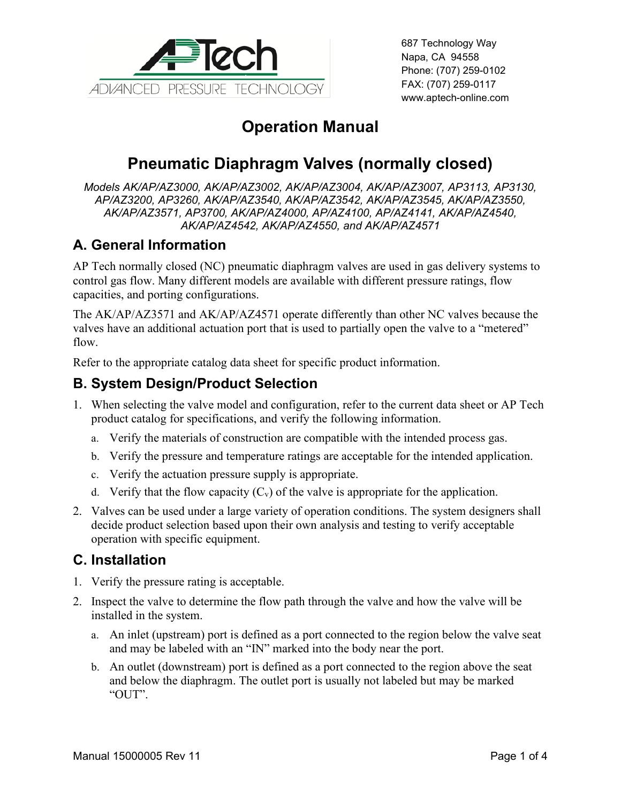

687 Technology Way Napa, CA 94558 Phone: (707) 259-0102 FAX: (707) 259-0117 www.aptech-online.com

# **Operation Manual**

# **Pneumatic Diaphragm Valves (normally closed)**

*Models AK/AP/AZ3000, AK/AP/AZ3002, AK/AP/AZ3004, AK/AP/AZ3007, AP3113, AP3130, AP/AZ3200, AP3260, AK/AP/AZ3540, AK/AP/AZ3542, AK/AP/AZ3545, AK/AP/AZ3550, AK/AP/AZ3571, AP3700, AK/AP/AZ4000, AP/AZ4100, AP/AZ4141, AK/AP/AZ4540, AK/AP/AZ4542, AK/AP/AZ4550, and AK/AP/AZ4571*

### **A. General Information**

AP Tech normally closed (NC) pneumatic diaphragm valves are used in gas delivery systems to control gas flow. Many different models are available with different pressure ratings, flow capacities, and porting configurations.

The AK/AP/AZ3571 and AK/AP/AZ4571 operate differently than other NC valves because the valves have an additional actuation port that is used to partially open the valve to a "metered" flow.

Refer to the appropriate catalog data sheet for specific product information.

#### **B. System Design/Product Selection**

- 1. When selecting the valve model and configuration, refer to the current data sheet or AP Tech product catalog for specifications, and verify the following information.
	- a. Verify the materials of construction are compatible with the intended process gas.
	- b. Verify the pressure and temperature ratings are acceptable for the intended application.
	- c. Verify the actuation pressure supply is appropriate.
	- d. Verify that the flow capacity  $(C_v)$  of the valve is appropriate for the application.
- 2. Valves can be used under a large variety of operation conditions. The system designers shall decide product selection based upon their own analysis and testing to verify acceptable operation with specific equipment.

#### **C. Installation**

- 1. Verify the pressure rating is acceptable.
- 2. Inspect the valve to determine the flow path through the valve and how the valve will be installed in the system.
	- a. An inlet (upstream) port is defined as a port connected to the region below the valve seat and may be labeled with an "IN" marked into the body near the port.
	- b. An outlet (downstream) port is defined as a port connected to the region above the seat and below the diaphragm. The outlet port is usually not labeled but may be marked "OUT".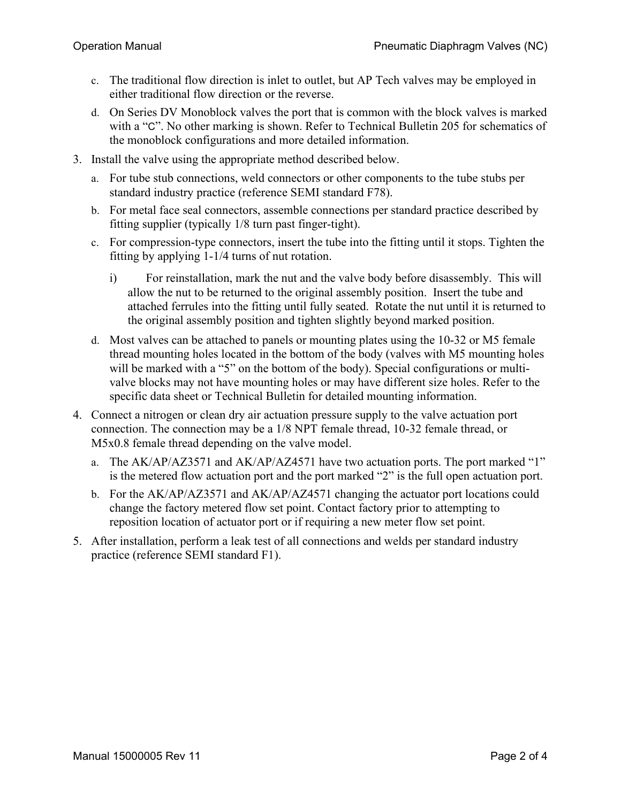- c. The traditional flow direction is inlet to outlet, but AP Tech valves may be employed in either traditional flow direction or the reverse.
- d. On Series DV Monoblock valves the port that is common with the block valves is marked with a "C". No other marking is shown. Refer to Technical Bulletin 205 for schematics of the monoblock configurations and more detailed information.
- 3. Install the valve using the appropriate method described below.
	- a. For tube stub connections, weld connectors or other components to the tube stubs per standard industry practice (reference SEMI standard F78).
	- b. For metal face seal connectors, assemble connections per standard practice described by fitting supplier (typically 1/8 turn past finger-tight).
	- c. For compression-type connectors, insert the tube into the fitting until it stops. Tighten the fitting by applying 1-1/4 turns of nut rotation.
		- i) For reinstallation, mark the nut and the valve body before disassembly. This will allow the nut to be returned to the original assembly position. Insert the tube and attached ferrules into the fitting until fully seated. Rotate the nut until it is returned to the original assembly position and tighten slightly beyond marked position.
	- d. Most valves can be attached to panels or mounting plates using the 10-32 or M5 female thread mounting holes located in the bottom of the body (valves with M5 mounting holes will be marked with a "5" on the bottom of the body). Special configurations or multivalve blocks may not have mounting holes or may have different size holes. Refer to the specific data sheet or Technical Bulletin for detailed mounting information.
- 4. Connect a nitrogen or clean dry air actuation pressure supply to the valve actuation port connection. The connection may be a 1/8 NPT female thread, 10-32 female thread, or M5x0.8 female thread depending on the valve model.
	- a. The AK/AP/AZ3571 and AK/AP/AZ4571 have two actuation ports. The port marked "1" is the metered flow actuation port and the port marked "2" is the full open actuation port.
	- b. For the AK/AP/AZ3571 and AK/AP/AZ4571 changing the actuator port locations could change the factory metered flow set point. Contact factory prior to attempting to reposition location of actuator port or if requiring a new meter flow set point.
- 5. After installation, perform a leak test of all connections and welds per standard industry practice (reference SEMI standard F1).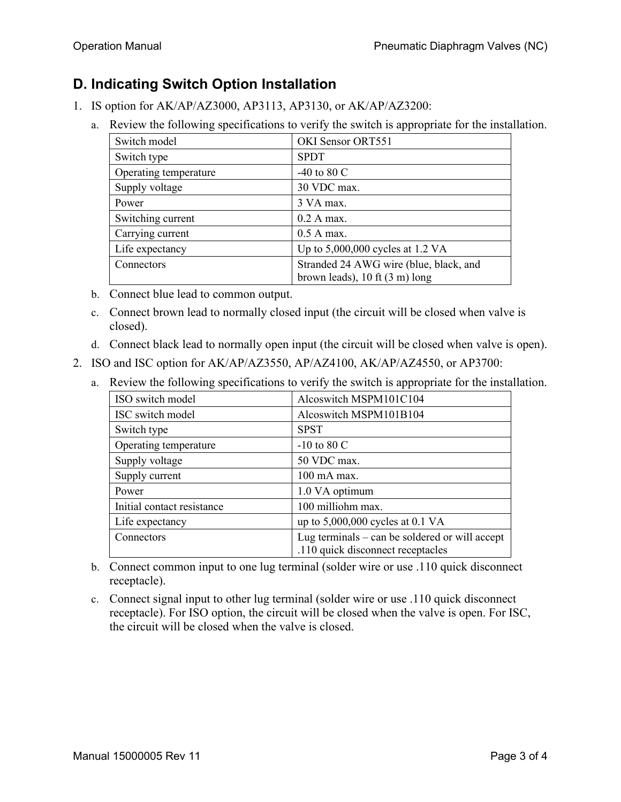## **D. Indicating Switch Option Installation**

- 1. IS option for AK/AP/AZ3000, AP3113, AP3130, or AK/AP/AZ3200:
	- a. Review the following specifications to verify the switch is appropriate for the installation.

| Switch model          | OKI Sensor ORT551                                |
|-----------------------|--------------------------------------------------|
| Switch type           | <b>SPDT</b>                                      |
| Operating temperature | -40 to 80 $C$                                    |
| Supply voltage        | 30 VDC max.                                      |
| Power                 | 3 VA max.                                        |
| Switching current     | 0.2 A max.                                       |
| Carrying current      | $0.5$ A max.                                     |
| Life expectancy       | Up to $5,000,000$ cycles at 1.2 VA               |
| Connectors            | Stranded 24 AWG wire (blue, black, and           |
|                       | brown leads), $10 \text{ ft} (3 \text{ m})$ long |

- b. Connect blue lead to common output.
- c. Connect brown lead to normally closed input (the circuit will be closed when valve is closed).
- d. Connect black lead to normally open input (the circuit will be closed when valve is open).
- 2. ISO and ISC option for AK/AP/AZ3550, AP/AZ4100, AK/AP/AZ4550, or AP3700:
	- a. Review the following specifications to verify the switch is appropriate for the installation.

| ISO switch model           | Alcoswitch MSPM101C104                                                                |
|----------------------------|---------------------------------------------------------------------------------------|
| ISC switch model           | Alcoswitch MSPM101B104                                                                |
| Switch type                | <b>SPST</b>                                                                           |
| Operating temperature      | $-10$ to 80 C                                                                         |
| Supply voltage             | 50 VDC max.                                                                           |
| Supply current             | $100$ mA max.                                                                         |
| Power                      | 1.0 VA optimum                                                                        |
| Initial contact resistance | 100 milliohm max.                                                                     |
| Life expectancy            | up to $5,000,000$ cycles at 0.1 VA                                                    |
| Connectors                 | Lug terminals $-$ can be soldered or will accept<br>.110 quick disconnect receptacles |

- b. Connect common input to one lug terminal (solder wire or use .110 quick disconnect receptacle).
- c. Connect signal input to other lug terminal (solder wire or use .110 quick disconnect receptacle). For ISO option, the circuit will be closed when the valve is open. For ISC, the circuit will be closed when the valve is closed.